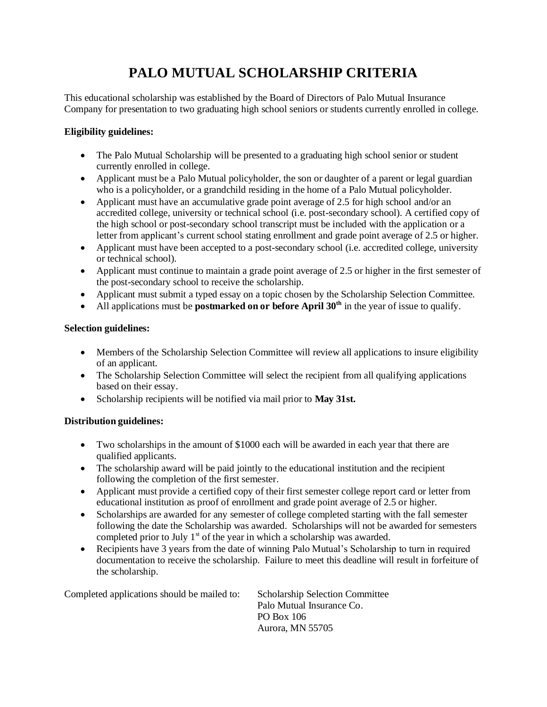# **PALO MUTUAL SCHOLARSHIP CRITERIA**

This educational scholarship was established by the Board of Directors of Palo Mutual Insurance Company for presentation to two graduating high school seniors or students currently enrolled in college.

### **Eligibility guidelines:**

- The Palo Mutual Scholarship will be presented to a graduating high school senior or student currently enrolled in college.
- Applicant must be a Palo Mutual policyholder, the son or daughter of a parent or legal guardian who is a policyholder, or a grandchild residing in the home of a Palo Mutual policyholder.
- Applicant must have an accumulative grade point average of 2.5 for high school and/or an accredited college, university or technical school (i.e. post-secondary school). A certified copy of the high school or post-secondary school transcript must be included with the application or a letter from applicant's current school stating enrollment and grade point average of 2.5 or higher.
- Applicant must have been accepted to a post-secondary school (i.e. accredited college, university or technical school).
- Applicant must continue to maintain a grade point average of 2.5 or higher in the first semester of the post-secondary school to receive the scholarship.
- Applicant must submit a typed essay on a topic chosen by the Scholarship Selection Committee.
- All applications must be **postmarked on or before April 30<sup>th</sup>** in the year of issue to qualify.

#### **Selection guidelines:**

- Members of the Scholarship Selection Committee will review all applications to insure eligibility of an applicant.
- The Scholarship Selection Committee will select the recipient from all qualifying applications based on their essay.
- Scholarship recipients will be notified via mail prior to **May 31st.**

#### **Distribution guidelines:**

- Two scholarships in the amount of \$1000 each will be awarded in each year that there are qualified applicants.
- The scholarship award will be paid jointly to the educational institution and the recipient following the completion of the first semester.
- Applicant must provide a certified copy of their first semester college report card or letter from educational institution as proof of enrollment and grade point average of 2.5 or higher.
- Scholarships are awarded for any semester of college completed starting with the fall semester following the date the Scholarship was awarded. Scholarships will not be awarded for semesters completed prior to July  $1<sup>st</sup>$  of the year in which a scholarship was awarded.
- Recipients have 3 years from the date of winning Palo Mutual's Scholarship to turn in required documentation to receive the scholarship. Failure to meet this deadline will result in forfeiture of the scholarship.

| Completed applications should be mailed to: | <b>Scholarship Selection Committee</b> |
|---------------------------------------------|----------------------------------------|
|                                             | Palo Mutual Insurance Co.              |
|                                             | PO Box 106                             |
|                                             | Aurora, MN 55705                       |